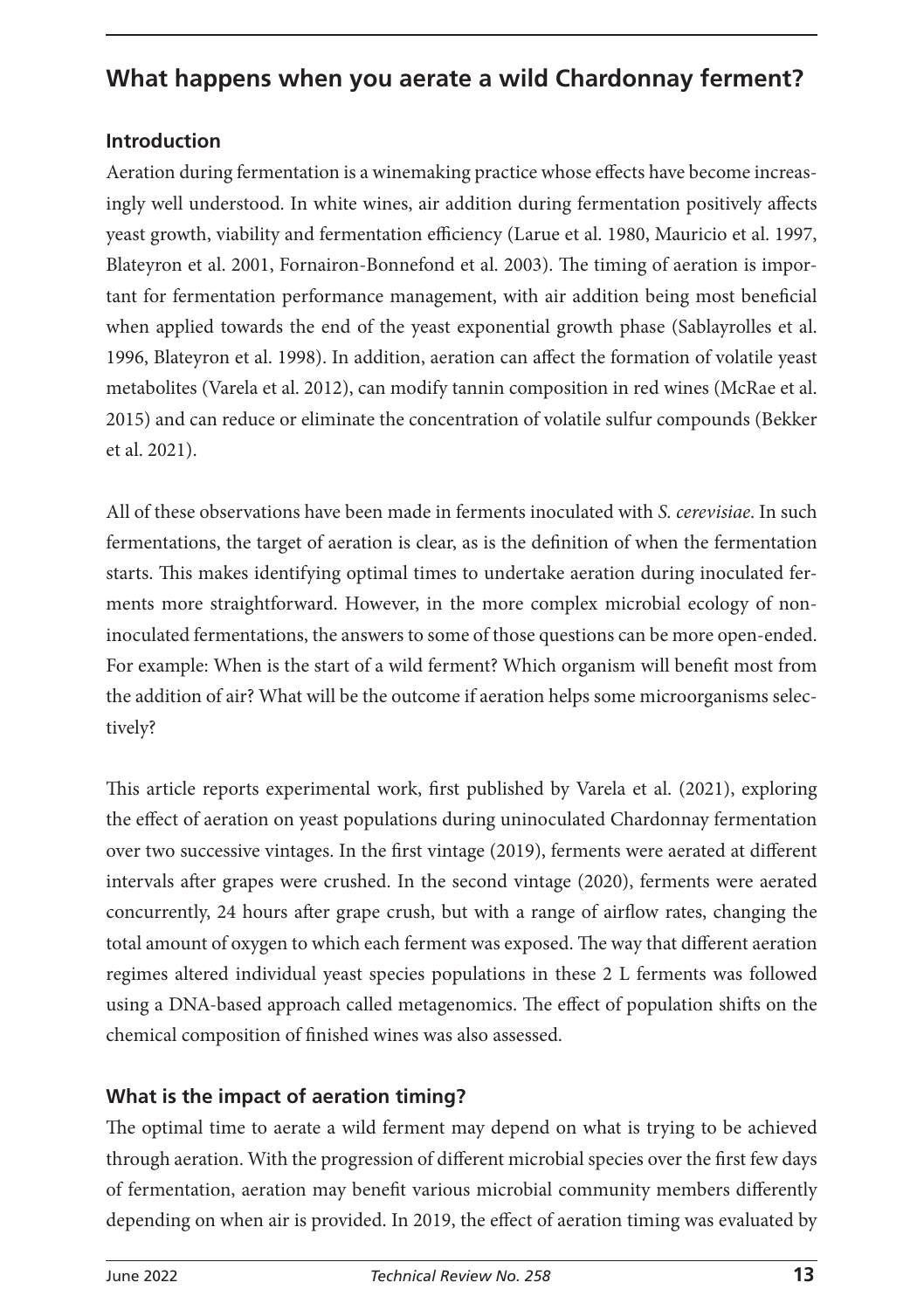# **What happens when you aerate a wild Chardonnay ferment?**

### **Introduction**

Aeration during fermentation is a winemaking practice whose effects have become increasingly well understood. In white wines, air addition during fermentation positively affects yeast growth, viability and fermentation efficiency (Larue et al. 1980, Mauricio et al. 1997, Blateyron et al. 2001, Fornairon-Bonnefond et al. 2003). The timing of aeration is important for fermentation performance management, with air addition being most beneficial when applied towards the end of the yeast exponential growth phase (Sablayrolles et al. 1996, Blateyron et al. 1998). In addition, aeration can affect the formation of volatile yeast metabolites (Varela et al. 2012), can modify tannin composition in red wines (McRae et al. 2015) and can reduce or eliminate the concentration of volatile sulfur compounds (Bekker et al. 2021).

All of these observations have been made in ferments inoculated with *S. cerevisiae*. In such fermentations, the target of aeration is clear, as is the definition of when the fermentation starts. This makes identifying optimal times to undertake aeration during inoculated ferments more straightforward. However, in the more complex microbial ecology of noninoculated fermentations, the answers to some of those questions can be more open-ended. For example: When is the start of a wild ferment? Which organism will benefit most from the addition of air? What will be the outcome if aeration helps some microorganisms selectively?

This article reports experimental work, first published by Varela et al. (2021), exploring the effect of aeration on yeast populations during uninoculated Chardonnay fermentation over two successive vintages. In the first vintage (2019), ferments were aerated at different intervals after grapes were crushed. In the second vintage (2020), ferments were aerated concurrently, 24 hours after grape crush, but with a range of airflow rates, changing the total amount of oxygen to which each ferment was exposed. The way that different aeration regimes altered individual yeast species populations in these 2 L ferments was followed using a DNA-based approach called metagenomics. The effect of population shifts on the chemical composition of finished wines was also assessed.

## **What is the impact of aeration timing?**

The optimal time to aerate a wild ferment may depend on what is trying to be achieved through aeration. With the progression of different microbial species over the first few days of fermentation, aeration may benefit various microbial community members differently depending on when air is provided. In 2019, the effect of aeration timing was evaluated by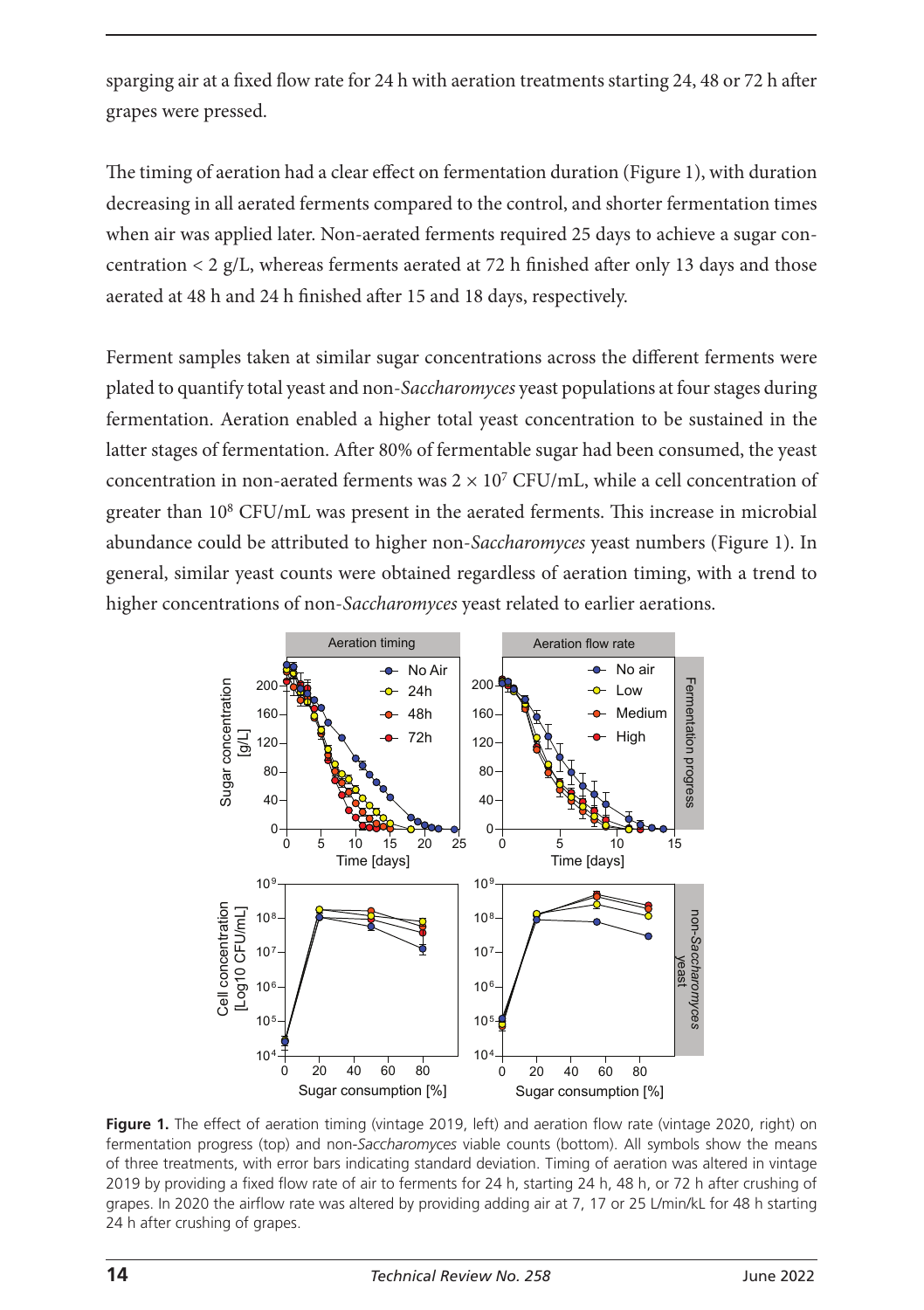sparging air at a fixed flow rate for 24 h with aeration treatments starting 24, 48 or 72 h after grapes were pressed.

The timing of aeration had a clear effect on fermentation duration (Figure 1), with duration decreasing in all aerated ferments compared to the control, and shorter fermentation times when air was applied later. Non-aerated ferments required 25 days to achieve a sugar concentration < 2 g/L, whereas ferments aerated at 72 h finished after only 13 days and those aerated at 48 h and 24 h finished after 15 and 18 days, respectively.

Ferment samples taken at similar sugar concentrations across the different ferments were plated to quantify total yeast and non-*Saccharomyces* yeast populations at four stages during fermentation. Aeration enabled a higher total yeast concentration to be sustained in the latter stages of fermentation. After 80% of fermentable sugar had been consumed, the yeast concentration in non-aerated ferments was  $2 \times 10^7$  CFU/mL, while a cell concentration of greater than 108 CFU/mL was present in the aerated ferments. This increase in microbial abundance could be attributed to higher non-*Saccharomyces* yeast numbers (Figure 1). In general, similar yeast counts were obtained regardless of aeration timing, with a trend to higher concentrations of non-*Saccharomyces* yeast related to earlier aerations.



**Figure 1.** The effect of aeration timing (vintage 2019, left) and aeration flow rate (vintage 2020, right) on fermentation progress (top) and non-*Saccharomyces* viable counts (bottom). All symbols show the means of three treatments, with error bars indicating standard deviation. Timing of aeration was altered in vintage 2019 by providing a fixed flow rate of air to ferments for 24 h, starting 24 h, 48 h, or 72 h after crushing of grapes. In 2020 the airflow rate was altered by providing adding air at 7, 17 or 25 L/min/kL for 48 h starting 24 h after crushing of grapes.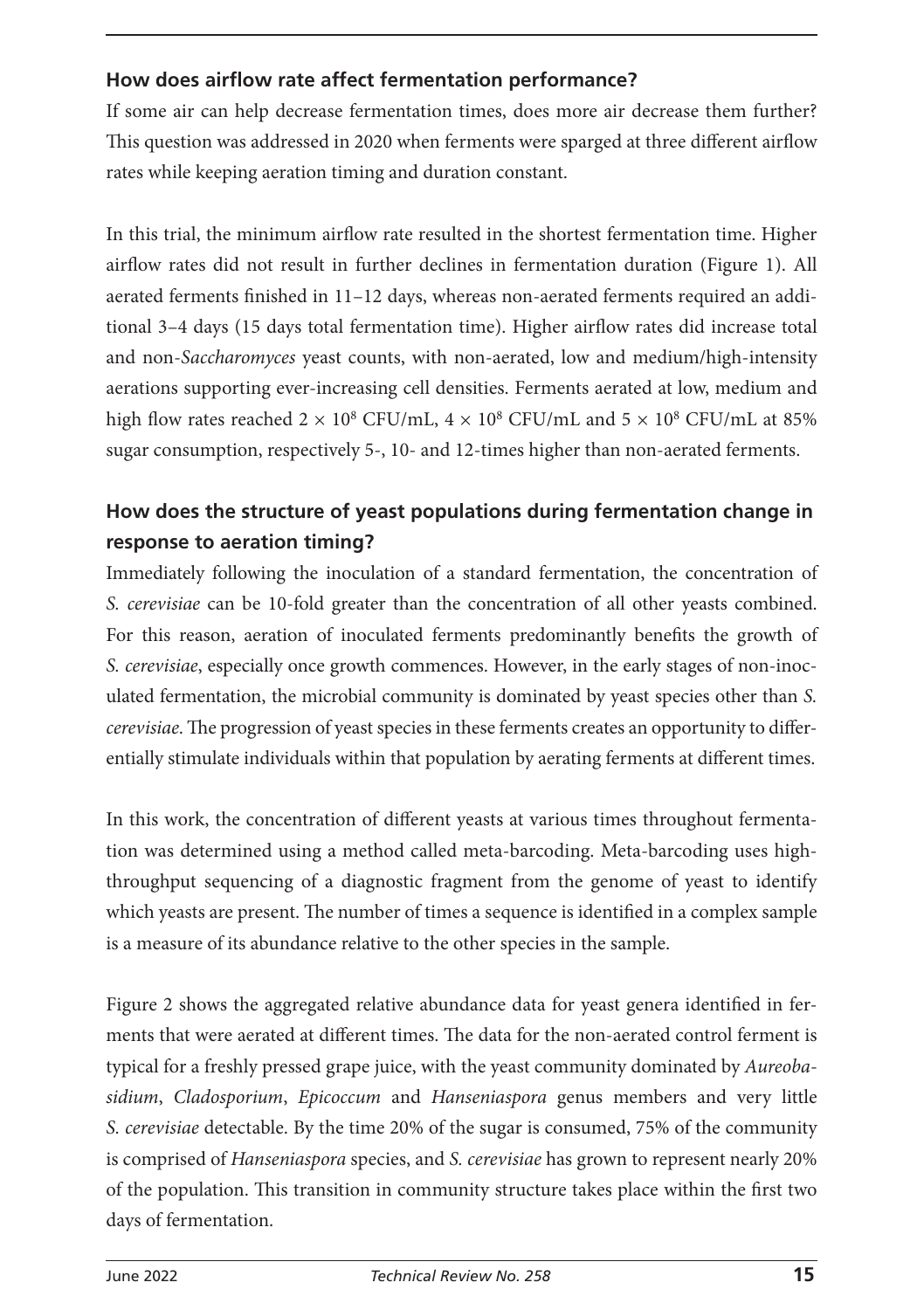### **How does airflow rate affect fermentation performance?**

If some air can help decrease fermentation times, does more air decrease them further? This question was addressed in 2020 when ferments were sparged at three different airflow rates while keeping aeration timing and duration constant.

In this trial, the minimum airflow rate resulted in the shortest fermentation time. Higher airflow rates did not result in further declines in fermentation duration (Figure 1). All aerated ferments finished in 11–12 days, whereas non-aerated ferments required an additional 3–4 days (15 days total fermentation time). Higher airflow rates did increase total and non-*Saccharomyces* yeast counts, with non-aerated, low and medium/high-intensity aerations supporting ever-increasing cell densities. Ferments aerated at low, medium and high flow rates reached  $2 \times 10^8$  CFU/mL,  $4 \times 10^8$  CFU/mL and  $5 \times 10^8$  CFU/mL at 85% sugar consumption, respectively 5-, 10- and 12-times higher than non-aerated ferments.

## **How does the structure of yeast populations during fermentation change in response to aeration timing?**

Immediately following the inoculation of a standard fermentation, the concentration of *S. cerevisiae* can be 10-fold greater than the concentration of all other yeasts combined. For this reason, aeration of inoculated ferments predominantly benefits the growth of *S. cerevisiae*, especially once growth commences. However, in the early stages of non-inoculated fermentation, the microbial community is dominated by yeast species other than *S. cerevisiae*. The progression of yeast species in these ferments creates an opportunity to differentially stimulate individuals within that population by aerating ferments at different times.

In this work, the concentration of different yeasts at various times throughout fermentation was determined using a method called meta-barcoding. Meta-barcoding uses highthroughput sequencing of a diagnostic fragment from the genome of yeast to identify which yeasts are present. The number of times a sequence is identified in a complex sample is a measure of its abundance relative to the other species in the sample.

Figure 2 shows the aggregated relative abundance data for yeast genera identified in ferments that were aerated at different times. The data for the non-aerated control ferment is typical for a freshly pressed grape juice, with the yeast community dominated by *Aureobasidium*, *Cladosporium*, *Epicoccum* and *Hanseniaspora* genus members and very little *S. cerevisiae* detectable. By the time 20% of the sugar is consumed, 75% of the community is comprised of *Hanseniaspora* species, and *S. cerevisiae* has grown to represent nearly 20% of the population. This transition in community structure takes place within the first two days of fermentation.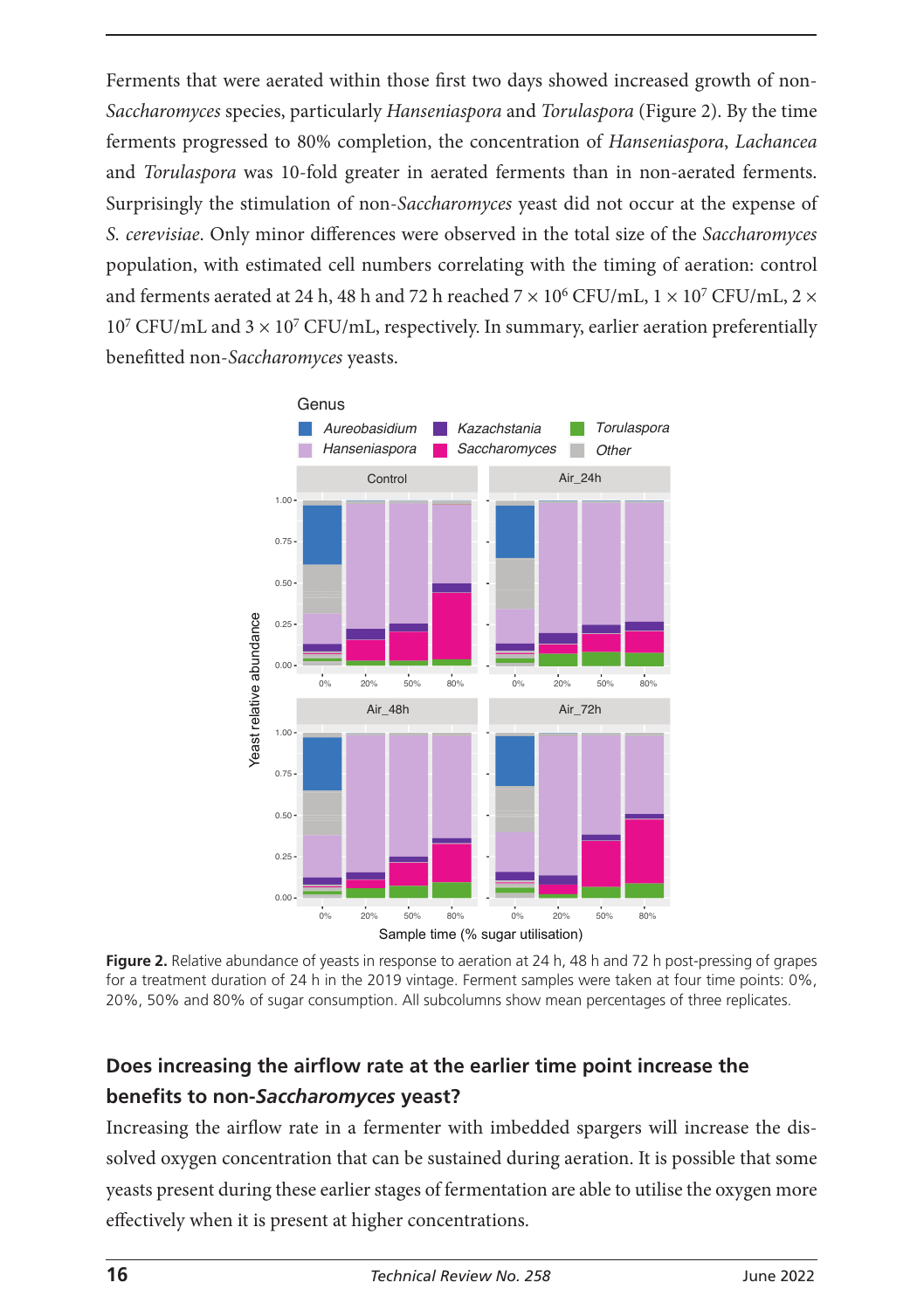Ferments that were aerated within those first two days showed increased growth of non-*Saccharomyces* species, particularly *Hanseniaspora* and *Torulaspora* (Figure 2). By the time ferments progressed to 80% completion, the concentration of *Hanseniaspora*, *Lachancea* and *Torulaspora* was 10-fold greater in aerated ferments than in non-aerated ferments. Surprisingly the stimulation of non-*Saccharomyces* yeast did not occur at the expense of *S. cerevisiae*. Only minor differences were observed in the total size of the *Saccharomyces* population, with estimated cell numbers correlating with the timing of aeration: control and ferments aerated at 24 h, 48 h and 72 h reached  $7 \times 10^6$  CFU/mL,  $1 \times 10^7$  CFU/mL,  $2 \times$  $10^7$  CFU/mL and  $3 \times 10^7$  CFU/mL, respectively. In summary, earlier aeration preferentially benefitted non-*Saccharomyces* yeasts.



**Figure 2.** Relative abundance of yeasts in response to aeration at 24 h, 48 h and 72 h post-pressing of grapes for a treatment duration of 24 h in the 2019 vintage. Ferment samples were taken at four time points: 0%, 20%, 50% and 80% of sugar consumption. All subcolumns show mean percentages of three replicates.

## **Does increasing the airflow rate at the earlier time point increase the benefits to non-***Saccharomyces* **yeast?**

Increasing the airflow rate in a fermenter with imbedded spargers will increase the dissolved oxygen concentration that can be sustained during aeration. It is possible that some yeasts present during these earlier stages of fermentation are able to utilise the oxygen more effectively when it is present at higher concentrations.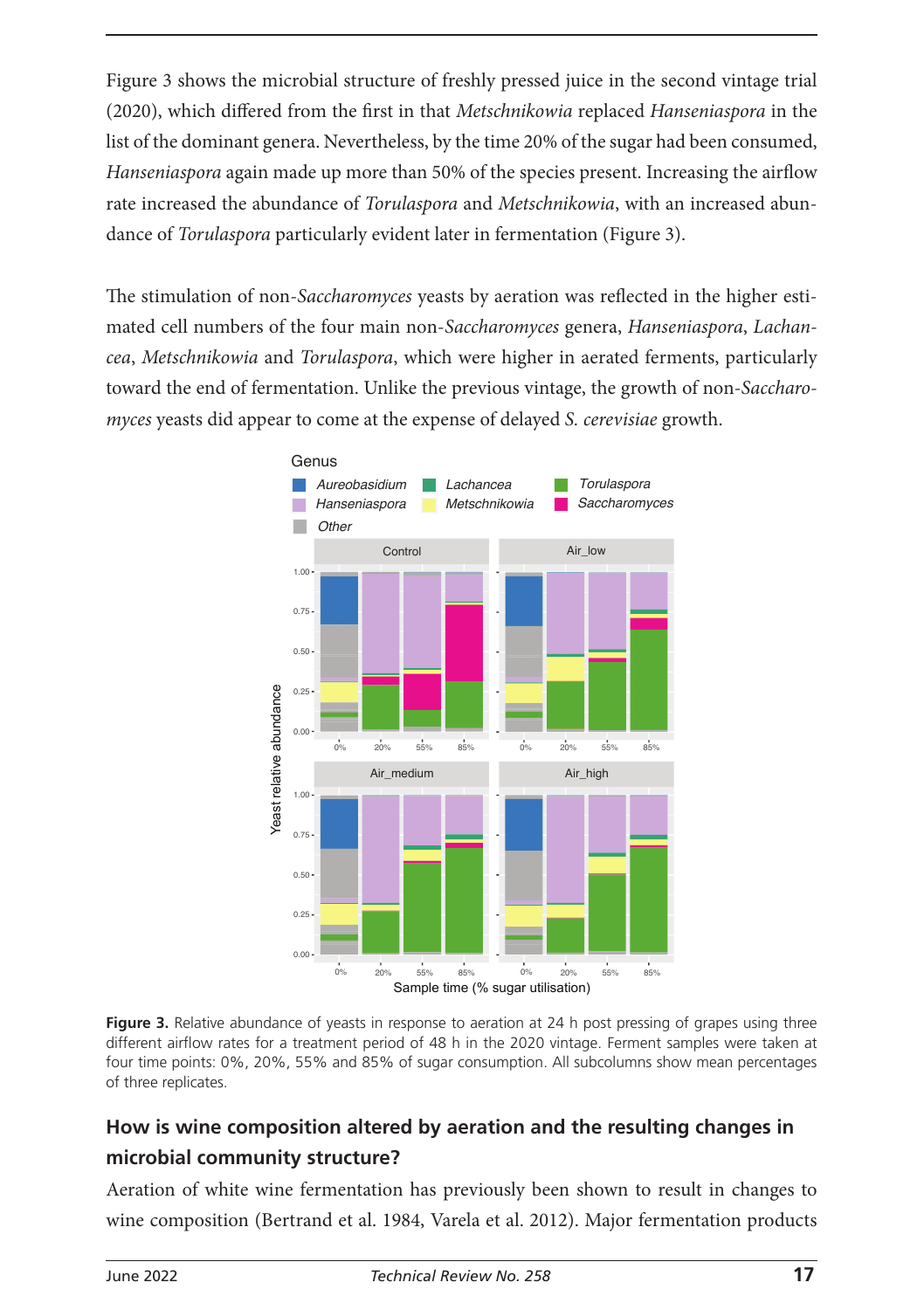Figure 3 shows the microbial structure of freshly pressed juice in the second vintage trial (2020), which differed from the first in that *Metschnikowia* replaced *Hanseniaspora* in the list of the dominant genera. Nevertheless, by the time 20% of the sugar had been consumed, *Hanseniaspora* again made up more than 50% of the species present. Increasing the airflow rate increased the abundance of *Torulaspora* and *Metschnikowia*, with an increased abundance of *Torulaspora* particularly evident later in fermentation (Figure 3).

The stimulation of non-*Saccharomyces* yeasts by aeration was reflected in the higher estimated cell numbers of the four main non-*Saccharomyces* genera, *Hanseniaspora*, *Lachancea*, *Metschnikowia* and *Torulaspora*, which were higher in aerated ferments, particularly toward the end of fermentation. Unlike the previous vintage, the growth of non-*Saccharomyces* yeasts did appear to come at the expense of delayed *S. cerevisiae* growth.



**Figure 3.** Relative abundance of yeasts in response to aeration at 24 h post pressing of grapes using three different airflow rates for a treatment period of 48 h in the 2020 vintage. Ferment samples were taken at four time points: 0%, 20%, 55% and 85% of sugar consumption. All subcolumns show mean percentages of three replicates.

### **How is wine composition altered by aeration and the resulting changes in microbial community structure?**

Aeration of white wine fermentation has previously been shown to result in changes to wine composition (Bertrand et al. 1984, Varela et al. 2012). Major fermentation products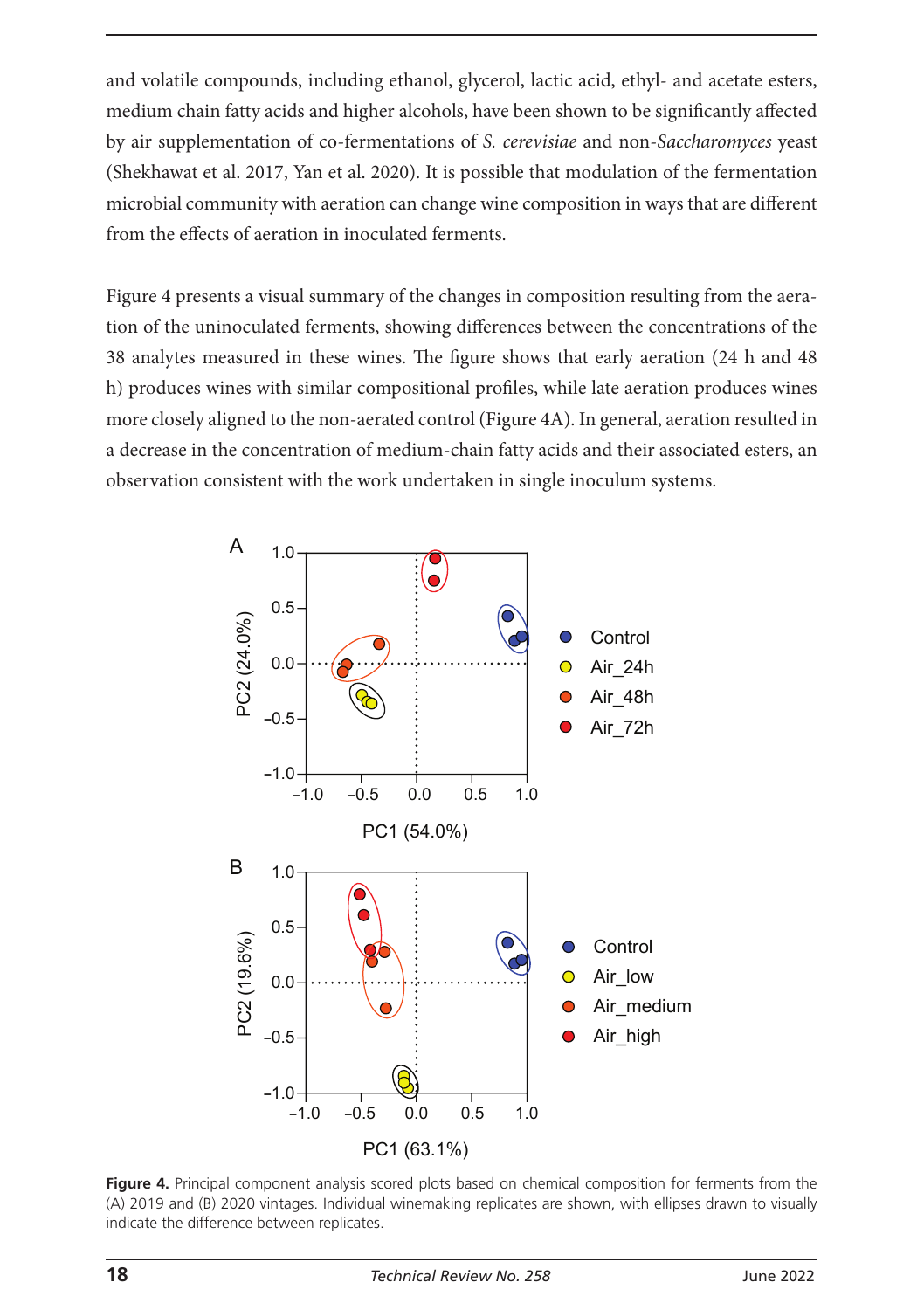and volatile compounds, including ethanol, glycerol, lactic acid, ethyl- and acetate esters, medium chain fatty acids and higher alcohols, have been shown to be significantly affected by air supplementation of co-fermentations of *S. cerevisiae* and non-*Saccharomyces* yeast (Shekhawat et al. 2017, Yan et al. 2020). It is possible that modulation of the fermentation microbial community with aeration can change wine composition in ways that are different from the effects of aeration in inoculated ferments.

Figure 4 presents a visual summary of the changes in composition resulting from the aeration of the uninoculated ferments, showing differences between the concentrations of the 38 analytes measured in these wines. The figure shows that early aeration (24 h and 48 h) produces wines with similar compositional profiles, while late aeration produces wines more closely aligned to the non-aerated control (Figure 4A). In general, aeration resulted in a decrease in the concentration of medium-chain fatty acids and their associated esters, an observation consistent with the work undertaken in single inoculum systems.



Figure 4. Principal component analysis scored plots based on chemical composition for ferments from the (A) 2019 and (B) 2020 vintages. Individual winemaking replicates are shown, with ellipses drawn to visually indicate the difference between replicates.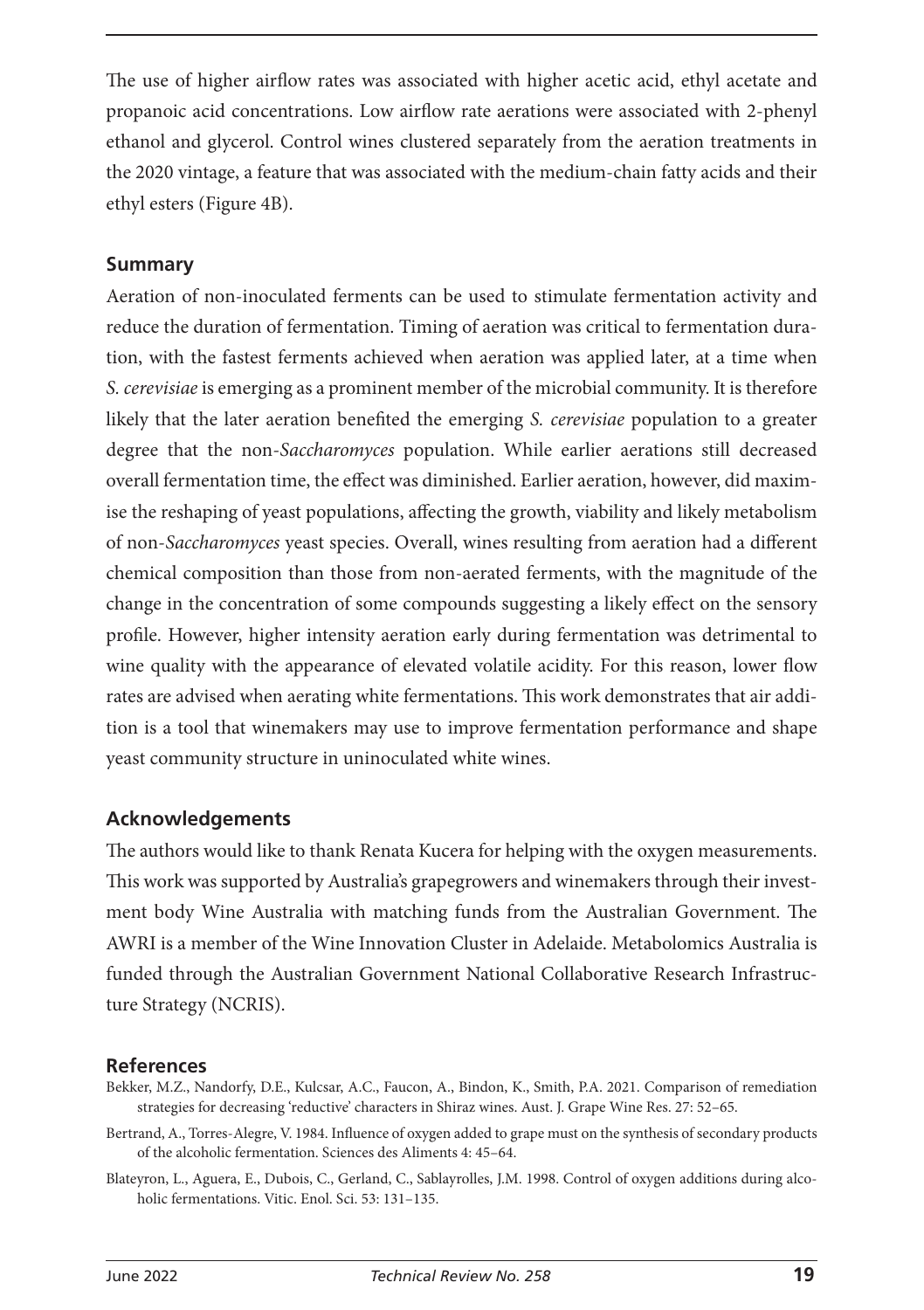The use of higher airflow rates was associated with higher acetic acid, ethyl acetate and propanoic acid concentrations. Low airflow rate aerations were associated with 2-phenyl ethanol and glycerol. Control wines clustered separately from the aeration treatments in the 2020 vintage, a feature that was associated with the medium-chain fatty acids and their ethyl esters (Figure 4B).

#### **Summary**

Aeration of non-inoculated ferments can be used to stimulate fermentation activity and reduce the duration of fermentation. Timing of aeration was critical to fermentation duration, with the fastest ferments achieved when aeration was applied later, at a time when *S. cerevisiae* is emerging as a prominent member of the microbial community. It is therefore likely that the later aeration benefited the emerging *S. cerevisiae* population to a greater degree that the non-*Saccharomyces* population. While earlier aerations still decreased overall fermentation time, the effect was diminished. Earlier aeration, however, did maximise the reshaping of yeast populations, affecting the growth, viability and likely metabolism of non-*Saccharomyces* yeast species. Overall, wines resulting from aeration had a different chemical composition than those from non-aerated ferments, with the magnitude of the change in the concentration of some compounds suggesting a likely effect on the sensory profile. However, higher intensity aeration early during fermentation was detrimental to wine quality with the appearance of elevated volatile acidity. For this reason, lower flow rates are advised when aerating white fermentations. This work demonstrates that air addition is a tool that winemakers may use to improve fermentation performance and shape yeast community structure in uninoculated white wines.

#### **Acknowledgements**

The authors would like to thank Renata Kucera for helping with the oxygen measurements. This work was supported by Australia's grapegrowers and winemakers through their investment body Wine Australia with matching funds from the Australian Government. The AWRI is a member of the Wine Innovation Cluster in Adelaide. Metabolomics Australia is funded through the Australian Government National Collaborative Research Infrastructure Strategy (NCRIS).

#### **References**

- Bekker, M.Z., Nandorfy, D.E., Kulcsar, A.C., Faucon, A., Bindon, K., Smith, P.A. 2021. Comparison of remediation strategies for decreasing 'reductive' characters in Shiraz wines. Aust. J. Grape Wine Res. 27: 52–65.
- Bertrand, A., Torres-Alegre, V. 1984. Influence of oxygen added to grape must on the synthesis of secondary products of the alcoholic fermentation. Sciences des Aliments 4: 45–64.
- Blateyron, L., Aguera, E., Dubois, C., Gerland, C., Sablayrolles, J.M. 1998. Control of oxygen additions during alcoholic fermentations. Vitic. Enol. Sci. 53: 131–135.